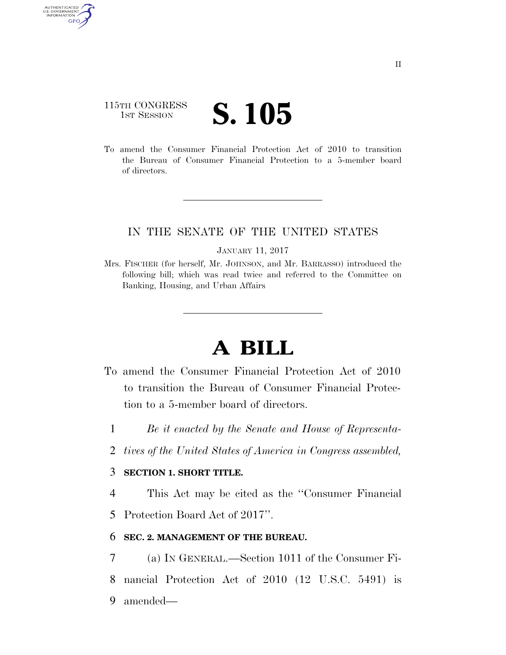# 115TH CONGRESS **IST SESSION S. 105**

AUTHENTICATE U.S. GOVERNMENT GPO

> To amend the Consumer Financial Protection Act of 2010 to transition the Bureau of Consumer Financial Protection to a 5-member board of directors.

## IN THE SENATE OF THE UNITED STATES

#### JANUARY 11, 2017

Mrs. FISCHER (for herself, Mr. JOHNSON, and Mr. BARRASSO) introduced the following bill; which was read twice and referred to the Committee on Banking, Housing, and Urban Affairs

# **A BILL**

- To amend the Consumer Financial Protection Act of 2010 to transition the Bureau of Consumer Financial Protection to a 5-member board of directors.
	- 1 *Be it enacted by the Senate and House of Representa-*
	- 2 *tives of the United States of America in Congress assembled,*

### 3 **SECTION 1. SHORT TITLE.**

4 This Act may be cited as the ''Consumer Financial

5 Protection Board Act of 2017''.

### 6 **SEC. 2. MANAGEMENT OF THE BUREAU.**

7 (a) IN GENERAL.—Section 1011 of the Consumer Fi-8 nancial Protection Act of 2010 (12 U.S.C. 5491) is 9 amended—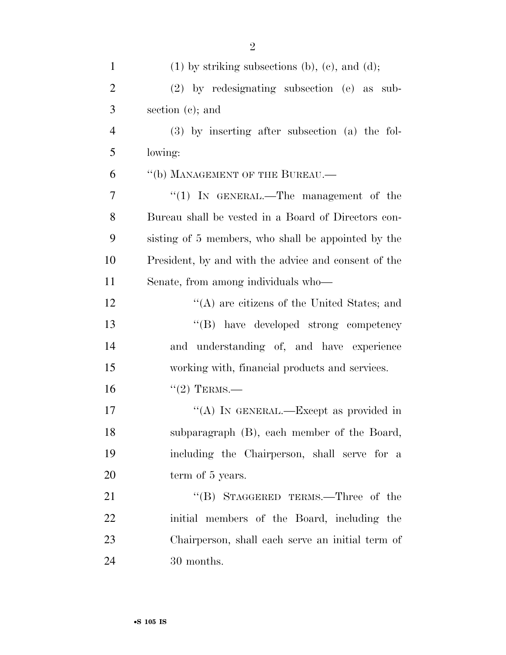| $\mathbf{1}$   | $(1)$ by striking subsections (b), (c), and (d);     |
|----------------|------------------------------------------------------|
| $\overline{2}$ | $(2)$ by redesignating subsection $(e)$ as sub-      |
| 3              | section $(c)$ ; and                                  |
| $\overline{4}$ | $(3)$ by inserting after subsection $(a)$ the fol-   |
| 5              | lowing:                                              |
| 6              | "(b) MANAGEMENT OF THE BUREAU.—                      |
| 7              | "(1) IN GENERAL.—The management of the               |
| 8              | Bureau shall be vested in a Board of Directors con-  |
| 9              | sisting of 5 members, who shall be appointed by the  |
| 10             | President, by and with the advice and consent of the |
| 11             | Senate, from among individuals who—                  |
| 12             | "(A) are citizens of the United States; and          |
| 13             | "(B) have developed strong competency                |
| 14             | and understanding of, and have experience            |
| 15             | working with, financial products and services.       |
| 16             | $``(2)$ TERMS.—                                      |
| 17             | "(A) IN GENERAL.—Except as provided in               |
| 18             | subparagraph (B), each member of the Board,          |
| 19             | including the Chairperson, shall serve for a         |
| 20             | term of 5 years.                                     |
| 21             | "(B) STAGGERED TERMS.—Three of the                   |
| 22             | initial members of the Board, including the          |
| 23             | Chairperson, shall each serve an initial term of     |
| 24             | 30 months.                                           |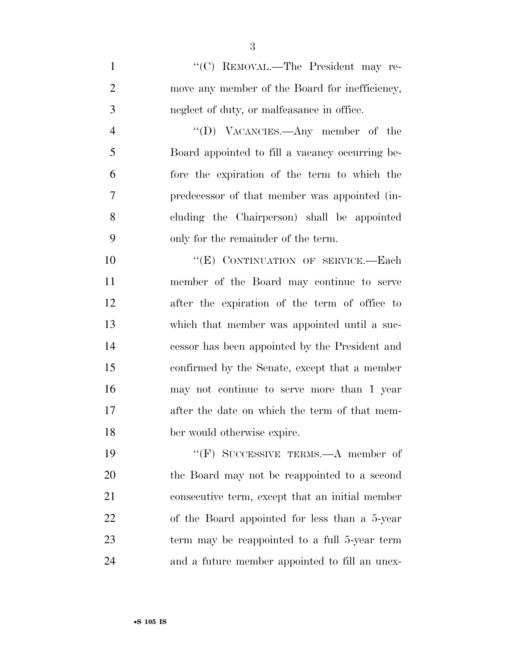1 ''(C) REMOVAL.—The President may re-2 move any member of the Board for inefficiency, neglect of duty, or malfeasance in office.

 ''(D) VACANCIES.—Any member of the Board appointed to fill a vacancy occurring be- fore the expiration of the term to which the predecessor of that member was appointed (in- cluding the Chairperson) shall be appointed only for the remainder of the term.

10 "(E) CONTINUATION OF SERVICE.—Each member of the Board may continue to serve after the expiration of the term of office to which that member was appointed until a suc- cessor has been appointed by the President and confirmed by the Senate, except that a member may not continue to serve more than 1 year 17 after the date on which the term of that mem-ber would otherwise expire.

 ''(F) SUCCESSIVE TERMS.—A member of the Board may not be reappointed to a second consecutive term, except that an initial member of the Board appointed for less than a 5-year term may be reappointed to a full 5-year term and a future member appointed to fill an unex-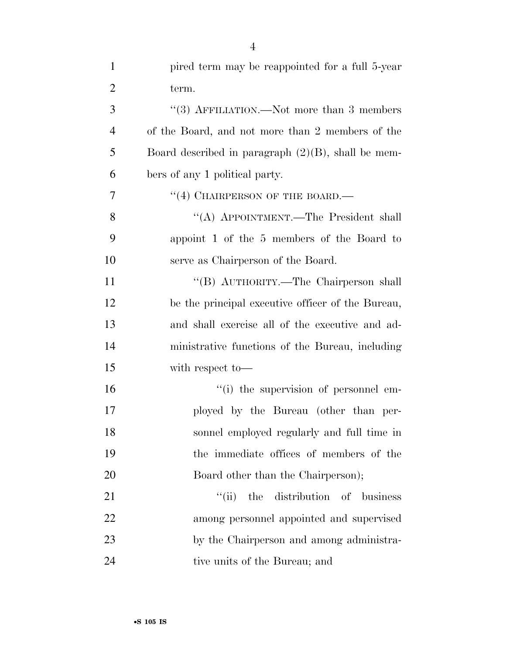| $\mathbf{1}$   | pired term may be reappointed for a full 5-year       |
|----------------|-------------------------------------------------------|
| $\overline{2}$ | term.                                                 |
| 3              | "(3) AFFILIATION.—Not more than 3 members             |
| $\overline{4}$ | of the Board, and not more than 2 members of the      |
| 5              | Board described in paragraph $(2)(B)$ , shall be mem- |
| 6              | bers of any 1 political party.                        |
| 7              | "(4) CHAIRPERSON OF THE BOARD.—                       |
| 8              | "(A) APPOINTMENT.—The President shall                 |
| 9              | appoint 1 of the 5 members of the Board to            |
| 10             | serve as Chairperson of the Board.                    |
| 11             | "(B) AUTHORITY.—The Chairperson shall                 |
| 12             | be the principal executive officer of the Bureau,     |
| 13             | and shall exercise all of the executive and ad-       |
| 14             | ministrative functions of the Bureau, including       |
| 15             | with respect to-                                      |
| 16             | "(i) the supervision of personnel em-                 |
| 17             | ployed by the Bureau (other than per-                 |
| 18             | sonnel employed regularly and full time in            |
| 19             | the immediate offices of members of the               |
| 20             | Board other than the Chairperson);                    |
| 21             | ``(ii)<br>the distribution of business                |
| 22             | among personnel appointed and supervised              |
| 23             | by the Chairperson and among administra-              |
| 24             | tive units of the Bureau; and                         |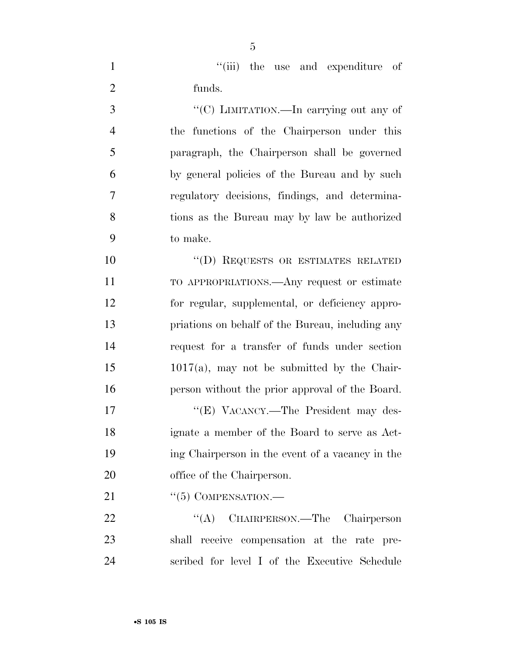1  $"$ (iii) the use and expenditure of funds.

 ''(C) LIMITATION.—In carrying out any of the functions of the Chairperson under this paragraph, the Chairperson shall be governed by general policies of the Bureau and by such regulatory decisions, findings, and determina- tions as the Bureau may by law be authorized to make.

10 "(D) REQUESTS OR ESTIMATES RELATED TO APPROPRIATIONS.—Any request or estimate for regular, supplemental, or deficiency appro- priations on behalf of the Bureau, including any request for a transfer of funds under section 1017(a), may not be submitted by the Chair-person without the prior approval of the Board.

17 "'(E) VACANCY.—The President may des- ignate a member of the Board to serve as Act- ing Chairperson in the event of a vacancy in the office of the Chairperson.

21 "(5) COMPENSATION.—

22 "(A) CHAIRPERSON.—The Chairperson shall receive compensation at the rate pre-scribed for level I of the Executive Schedule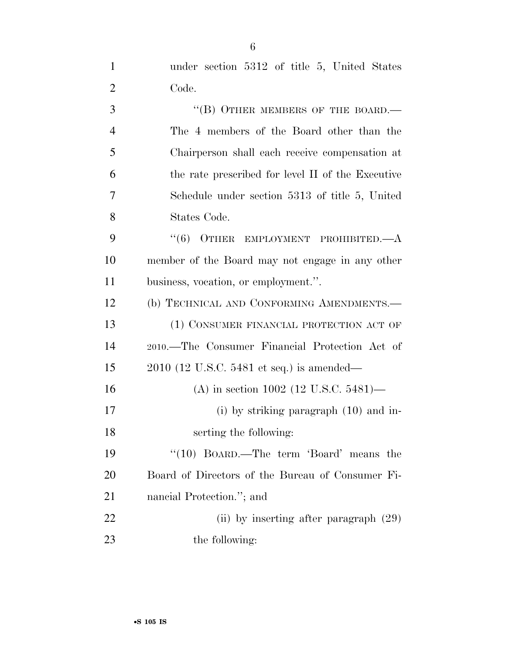| $\mathbf{1}$   | under section 5312 of title 5, United States      |
|----------------|---------------------------------------------------|
| $\overline{2}$ | Code.                                             |
| 3              | "(B) OTHER MEMBERS OF THE BOARD.-                 |
| $\overline{4}$ | The 4 members of the Board other than the         |
| 5              | Chairperson shall each receive compensation at    |
| 6              | the rate prescribed for level II of the Executive |
| $\overline{7}$ | Schedule under section 5313 of title 5, United    |
| 8              | States Code.                                      |
| 9              | $(6)$ OTHER<br>EMPLOYMENT PROHIBITED.—A           |
| 10             | member of the Board may not engage in any other   |
| 11             | business, vocation, or employment.".              |
| 12             | (b) TECHNICAL AND CONFORMING AMENDMENTS.-         |
| 13             | (1) CONSUMER FINANCIAL PROTECTION ACT OF          |
| 14             | 2010.—The Consumer Financial Protection Act of    |
| 15             | $2010$ (12 U.S.C. 5481 et seq.) is amended—       |
| 16             | (A) in section 1002 (12 U.S.C. 5481)—             |
| 17             | $(i)$ by striking paragraph $(10)$ and in-        |
| 18             | serting the following:                            |
| 19             | "(10) BOARD.—The term 'Board' means the           |
| 20             | Board of Directors of the Bureau of Consumer Fi-  |
| 21             | nancial Protection."; and                         |
| 22             | (ii) by inserting after paragraph $(29)$          |
| 23             | the following:                                    |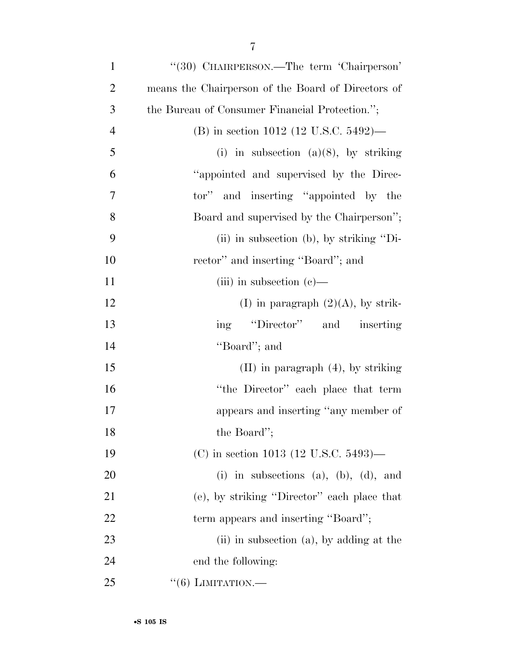| $\mathbf{1}$   | "(30) CHAIRPERSON.—The term 'Chairperson'          |
|----------------|----------------------------------------------------|
| $\overline{2}$ | means the Chairperson of the Board of Directors of |
| 3              | the Bureau of Consumer Financial Protection.";     |
| $\overline{4}$ | (B) in section 1012 (12 U.S.C. 5492)—              |
| 5              | (i) in subsection (a)(8), by striking              |
| 6              | "appointed and supervised by the Direc-            |
| 7              | tor" and inserting "appointed by the               |
| 8              | Board and supervised by the Chairperson";          |
| 9              | $(ii)$ in subsection (b), by striking "Di-         |
| 10             | rector" and inserting "Board"; and                 |
| 11             | (iii) in subsection $(e)$ —                        |
| 12             | (I) in paragraph $(2)(A)$ , by strik-              |
| 13             | ing "Director" and inserting                       |
| 14             | "Board"; and                                       |
| 15             | $(II)$ in paragraph $(4)$ , by striking            |
| 16             | "the Director" each place that term                |
| 17             | appears and inserting "any member of               |
| 18             | the Board";                                        |
| 19             | (C) in section 1013 (12 U.S.C. 5493)—              |
| 20             | (i) in subsections (a), (b), (d), and              |
| 21             | (e), by striking "Director" each place that        |
| 22             | term appears and inserting "Board";                |
| 23             | (ii) in subsection (a), by adding at the           |
| 24             | end the following:                                 |
| 25             | $\lq(6)$ LIMITATION.—                              |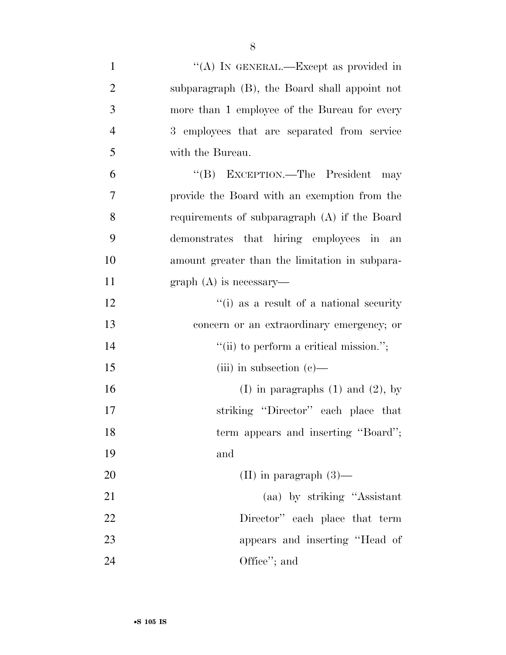| $\mathbf{1}$   | "(A) IN GENERAL.—Except as provided in         |
|----------------|------------------------------------------------|
| $\overline{2}$ | subparagraph (B), the Board shall appoint not  |
| 3              | more than 1 employee of the Bureau for every   |
| 4              | 3 employees that are separated from service    |
| 5              | with the Bureau.                               |
| 6              | "(B) EXCEPTION.—The President<br>may           |
| 7              | provide the Board with an exemption from the   |
| 8              | requirements of subparagraph (A) if the Board  |
| 9              | demonstrates that hiring employees in an       |
| 10             | amount greater than the limitation in subpara- |
| 11             | $graph(A)$ is necessary—                       |
| 12             | "(i) as a result of a national security        |
| 13             | concern or an extraordinary emergency; or      |
| 14             | "(ii) to perform a critical mission.";         |
| 15             | (iii) in subsection $(e)$ —                    |
| 16             | (I) in paragraphs $(1)$ and $(2)$ , by         |
| 17             | striking "Director" each place that            |
| 18             | term appears and inserting "Board";            |
| 19             | and                                            |
| 20             | (II) in paragraph $(3)$ —                      |
| 21             | (aa) by striking "Assistant                    |
| 22             | Director" each place that term                 |
| 23             | appears and inserting "Head of                 |
| 24             | Office"; and                                   |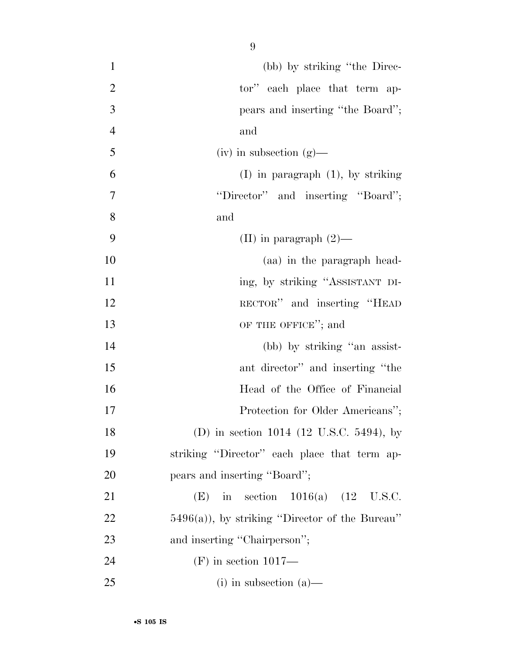| $\mathbf{1}$   | (bb) by striking "the Direc-                      |
|----------------|---------------------------------------------------|
| $\overline{2}$ | tor" each place that term ap-                     |
| 3              | pears and inserting "the Board";                  |
| $\overline{4}$ | and                                               |
| 5              | $(iv)$ in subsection $(g)$ —                      |
| 6              | $(I)$ in paragraph $(1)$ , by striking            |
| 7              | "Director" and inserting "Board";                 |
| 8              | and                                               |
| 9              | (II) in paragraph $(2)$ —                         |
| 10             | (aa) in the paragraph head-                       |
| 11             | ing, by striking "ASSISTANT DI-                   |
| 12             | RECTOR" and inserting "HEAD                       |
| 13             | OF THE OFFICE"; and                               |
| 14             | (bb) by striking "an assist-                      |
| 15             | ant director" and inserting "the                  |
| 16             | Head of the Office of Financial                   |
| 17             | Protection for Older Americans";                  |
| 18             | (D) in section 1014 (12 U.S.C. 5494), by          |
| 19             | striking "Director" each place that term ap-      |
| 20             | pears and inserting "Board";                      |
| 21             | in section $1016(a)$ $(12 \text{ U.S.C.})$<br>(E) |
| 22             | $5496(a)$ , by striking "Director of the Bureau"  |
| 23             | and inserting "Chairperson";                      |
| 24             | $(F)$ in section 1017—                            |
| 25             | $(i)$ in subsection $(a)$ —                       |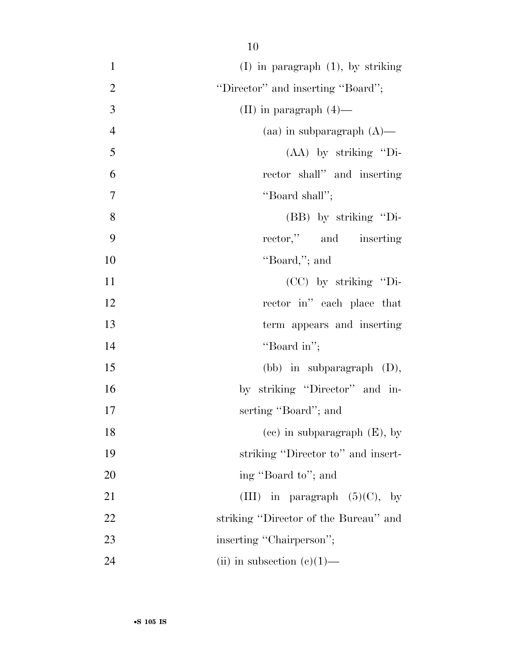| $\mathbf{1}$   | $(I)$ in paragraph $(1)$ , by striking |
|----------------|----------------------------------------|
| $\overline{2}$ | "Director" and inserting "Board";      |
| 3              | (II) in paragraph $(4)$ —              |
| $\overline{4}$ | (aa) in subparagraph $(A)$ —           |
| 5              | $(AA)$ by striking "Di-                |
| 6              | rector shall" and inserting            |
| $\overline{7}$ | "Board shall";                         |
| 8              | $(BB)$ by striking "Di-                |
| 9              | rector," and inserting                 |
| 10             | "Board,"; and                          |
| 11             | $(CC)$ by striking "Di-                |
| 12             | rector in" each place that             |
| 13             | term appears and inserting             |
| 14             | "Board in";                            |
| 15             | (bb) in subparagraph $(D)$ ,           |
| 16             | by striking "Director" and in-         |
| 17             | serting "Board"; and                   |
| 18             | $(ec)$ in subparagraph $(E)$ , by      |
| 19             | striking "Director to" and insert-     |
| 20             | ing "Board to"; and                    |
| 21             | (III) in paragraph $(5)(C)$ , by       |
| 22             | striking "Director of the Bureau" and  |
| 23             | inserting "Chairperson";               |
| 24             | (ii) in subsection $(e)(1)$ —          |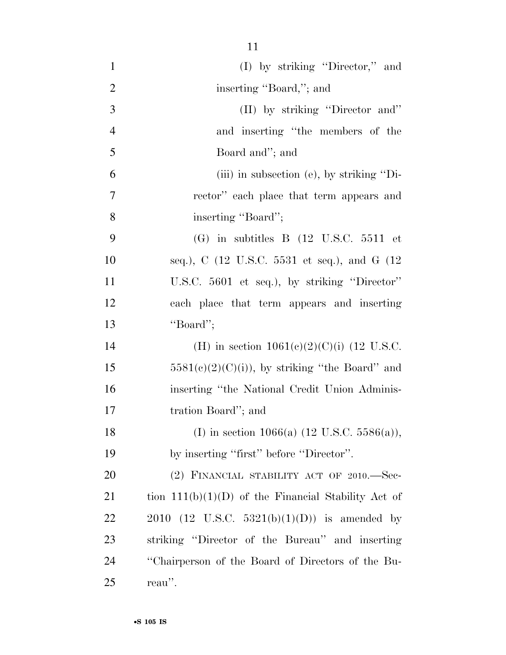| $\mathbf{1}$   | (I) by striking "Director," and                             |
|----------------|-------------------------------------------------------------|
| $\overline{2}$ | inserting "Board,"; and                                     |
| 3              | (II) by striking "Director and"                             |
| $\overline{4}$ | and inserting "the members of the                           |
| 5              | Board and"; and                                             |
| 6              | (iii) in subsection (e), by striking "Di-                   |
| $\overline{7}$ | rector" each place that term appears and                    |
| 8              | inserting "Board";                                          |
| 9              | $(G)$ in subtitles B $(12 \text{ U.S.C. } 5511 \text{ et }$ |
| 10             | seq.), C (12 U.S.C. 5531 et seq.), and G (12                |
| 11             | U.S.C. 5601 et seq.), by striking "Director"                |
| 12             | each place that term appears and inserting                  |
| 13             | "Board";                                                    |
| 14             | (H) in section $1061(e)(2)(C)(i)$ (12 U.S.C.                |
| 15             | $5581(e)(2)(C)(i)$ , by striking "the Board" and            |
| 16             | inserting "the National Credit Union Adminis-               |
| 17             | tration Board"; and                                         |
| 18             | (I) in section 1066(a) $(12 \text{ U.S.C. } 5586(a)),$      |
| 19             | by inserting "first" before "Director".                     |
| 20             | $(2)$ FINANCIAL STABILITY ACT OF 2010.—Sec-                 |
| 21             | tion $111(b)(1)(D)$ of the Financial Stability Act of       |
| <u>22</u>      | 2010 (12 U.S.C. 5321(b)(1)(D)) is amended by                |
| 23             | striking "Director of the Bureau" and inserting             |
| 24             | "Chairperson of the Board of Directors of the Bu-           |
| 25             | reau".                                                      |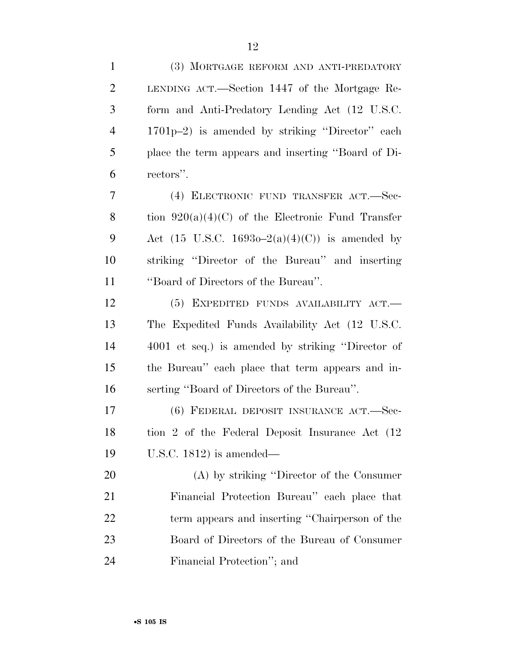| $\mathbf{1}$   | (3) MORTGAGE REFORM AND ANTI-PREDATORY              |
|----------------|-----------------------------------------------------|
| $\overline{2}$ | LENDING ACT.—Section 1447 of the Mortgage Re-       |
| 3              | form and Anti-Predatory Lending Act (12 U.S.C.      |
| $\overline{4}$ | 1701p-2) is amended by striking "Director" each     |
| 5              | place the term appears and inserting "Board of Di-  |
| 6              | rectors".                                           |
| 7              | (4) ELECTRONIC FUND TRANSFER ACT.—Sec-              |
| 8              | tion $920(a)(4)(C)$ of the Electronic Fund Transfer |
| 9              | Act (15 U.S.C. 1693o–2(a)(4)(C)) is amended by      |
| 10             | striking "Director of the Bureau" and inserting     |
| 11             | "Board of Directors of the Bureau".                 |
| 12             | (5) EXPEDITED FUNDS AVAILABILITY ACT.               |
| 13             | The Expedited Funds Availability Act (12 U.S.C.     |
| 14             | 4001 et seq.) is amended by striking "Director of   |
| 15             | the Bureau" each place that term appears and in-    |
| 16             | serting "Board of Directors of the Bureau".         |
| 17             | (6) FEDERAL DEPOSIT INSURANCE ACT.—Sec-             |
| 18             | tion 2 of the Federal Deposit Insurance Act (12)    |
| 19             | U.S.C. $1812$ ) is amended—                         |
| 20             | (A) by striking "Director of the Consumer           |
| 21             | Financial Protection Bureau" each place that        |
| 22             | term appears and inserting "Chairperson of the      |
| 23             | Board of Directors of the Bureau of Consumer        |
| 24             | Financial Protection"; and                          |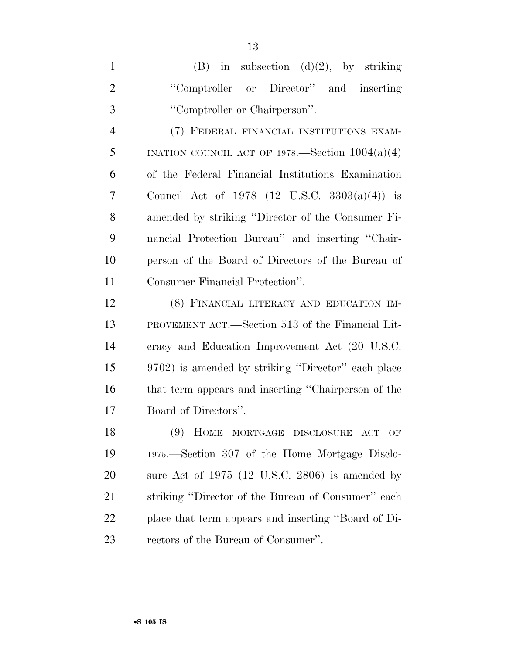1 (B) in subsection  $(d)(2)$ , by striking 2 "Comptroller or Director" and inserting ''Comptroller or Chairperson''. (7) FEDERAL FINANCIAL INSTITUTIONS EXAM-5 INATION COUNCIL ACT OF 1978.—Section  $1004(a)(4)$  of the Federal Financial Institutions Examination Council Act of 1978 (12 U.S.C. 3303(a)(4)) is amended by striking ''Director of the Consumer Fi-nancial Protection Bureau'' and inserting ''Chair-

 person of the Board of Directors of the Bureau of Consumer Financial Protection''.

 (8) FINANCIAL LITERACY AND EDUCATION IM- PROVEMENT ACT.—Section 513 of the Financial Lit- eracy and Education Improvement Act (20 U.S.C. 9702) is amended by striking ''Director'' each place that term appears and inserting ''Chairperson of the Board of Directors''.

 (9) HOME MORTGAGE DISCLOSURE ACT OF 1975.—Section 307 of the Home Mortgage Disclo- sure Act of 1975 (12 U.S.C. 2806) is amended by striking ''Director of the Bureau of Consumer'' each place that term appears and inserting ''Board of Di-rectors of the Bureau of Consumer''.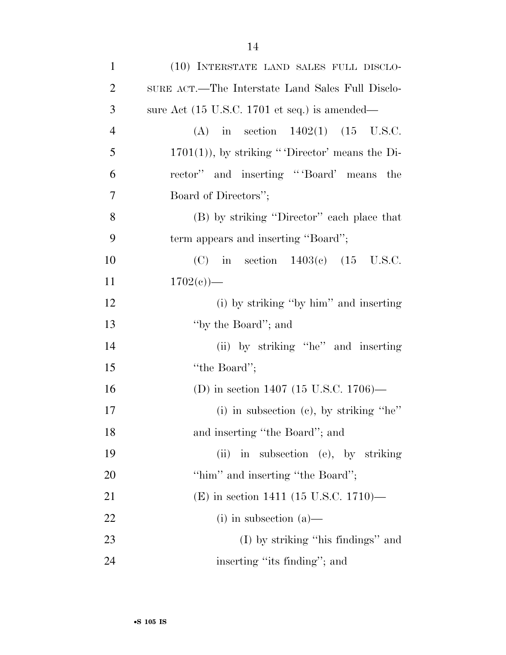| $\mathbf{1}$   | (10) INTERSTATE LAND SALES FULL DISCLO-                          |
|----------------|------------------------------------------------------------------|
| $\overline{2}$ | SURE ACT.—The Interstate Land Sales Full Disclo-                 |
| 3              | sure Act $(15 \text{ U.S.C. } 1701 \text{ et seq.})$ is amended— |
| $\overline{4}$ | (A) in section $1402(1)$ (15 U.S.C.                              |
| 5              | $1701(1)$ , by striking "Director' means the Di-                 |
| 6              | rector" and inserting "Board" means the                          |
| $\overline{7}$ | Board of Directors";                                             |
| 8              | (B) by striking "Director" each place that                       |
| 9              | term appears and inserting "Board";                              |
| 10             | (C) in section $1403(c)$ (15 U.S.C.                              |
| 11             | $1702(e)$ —                                                      |
| 12             | (i) by striking "by him" and inserting                           |
| 13             | "by the Board"; and                                              |
| 14             | (ii) by striking "he" and inserting                              |
| 15             | "the Board";                                                     |
| 16             | (D) in section 1407 (15 U.S.C. 1706)—                            |
| 17             | (i) in subsection (c), by striking "he"                          |
| 18             | and inserting "the Board"; and                                   |
| 19             | in subsection (e), by striking<br>(ii)                           |
| 20             | "him" and inserting "the Board";                                 |
| 21             | (E) in section 1411 (15 U.S.C. 1710)—                            |
| 22             | $(i)$ in subsection $(a)$ —                                      |
| 23             | $(I)$ by striking "his findings" and                             |
| 24             | inserting "its finding"; and                                     |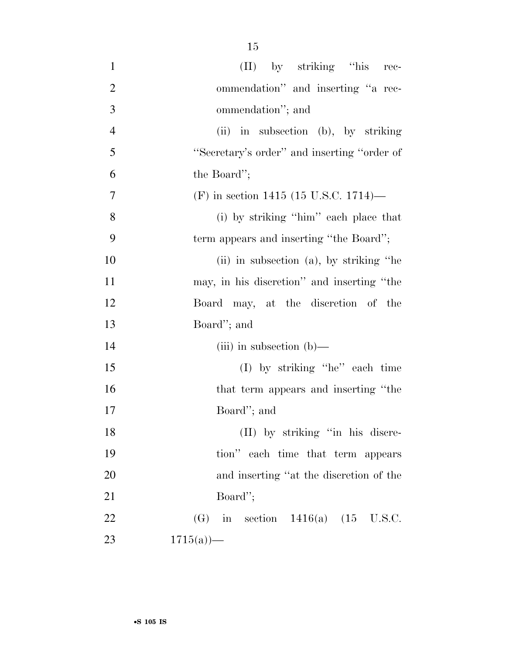| $\mathbf{1}$   | $(II)$ by striking "his rec-                 |
|----------------|----------------------------------------------|
| $\overline{2}$ | ommendation" and inserting "a rec-           |
| 3              | ommendation"; and                            |
| $\overline{4}$ | (ii) in subsection (b), by striking          |
| 5              | "Secretary's order" and inserting "order of  |
| 6              | the Board";                                  |
| 7              | (F) in section 1415 (15 U.S.C. 1714)—        |
| 8              | (i) by striking "him" each place that        |
| 9              | term appears and inserting "the Board";      |
| 10             | $(ii)$ in subsection $(a)$ , by striking "he |
| 11             | may, in his discretion" and inserting "the   |
| 12             | Board may, at the discretion of the          |
| 13             | Board"; and                                  |
| 14             | (iii) in subsection $(b)$ —                  |
| 15             | (I) by striking "he" each time               |
| 16             | that term appears and inserting "the         |
| 17             | Board"; and                                  |
| 18             | (II) by striking "in his discre-             |
| 19             | tion" each time that term appears            |
| 20             | and inserting "at the discretion of the      |
| 21             | Board";                                      |
| 22             | (G) in section $1416(a)$ (15 U.S.C.          |
| 23             | 1715(a)                                      |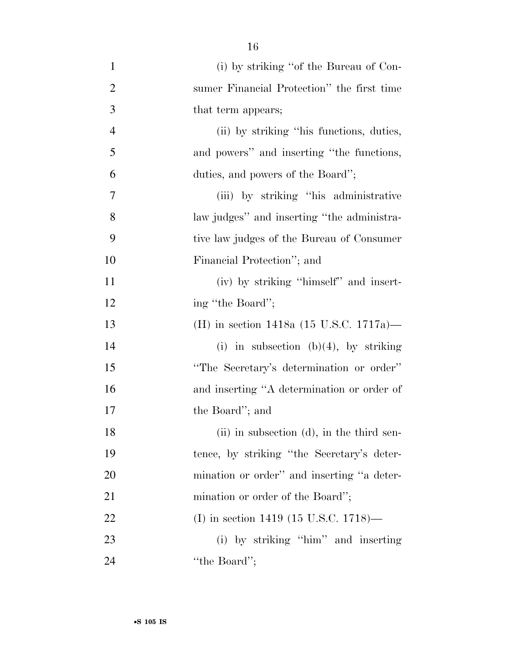| $\mathbf{1}$   | (i) by striking "of the Bureau of Con-     |
|----------------|--------------------------------------------|
| $\overline{2}$ | sumer Financial Protection" the first time |
| 3              | that term appears;                         |
| $\overline{4}$ | (ii) by striking "his functions, duties,   |
| 5              | and powers" and inserting "the functions,  |
| 6              | duties, and powers of the Board";          |
| 7              | (iii) by striking "his administrative"     |
| 8              | law judges" and inserting "the administra- |
| 9              | tive law judges of the Bureau of Consumer  |
| 10             | Financial Protection"; and                 |
| 11             | (iv) by striking "himself" and insert-     |
| 12             | ing "the Board";                           |
| 13             | (H) in section 1418a (15 U.S.C. 1717a)—    |
| 14             | (i) in subsection (b)(4), by striking      |
| 15             | "The Secretary's determination or order"   |
| 16             | and inserting "A determination or order of |
| 17             | the Board"; and                            |
| 18             | (ii) in subsection (d), in the third sen-  |
| 19             | tence, by striking "the Secretary's deter- |
| 20             | mination or order" and inserting "a deter- |
| 21             | mination or order of the Board";           |
| 22             | (I) in section 1419 (15 U.S.C. 1718)—      |
| 23             | (i) by striking "him" and inserting        |
| 24             | "the Board";                               |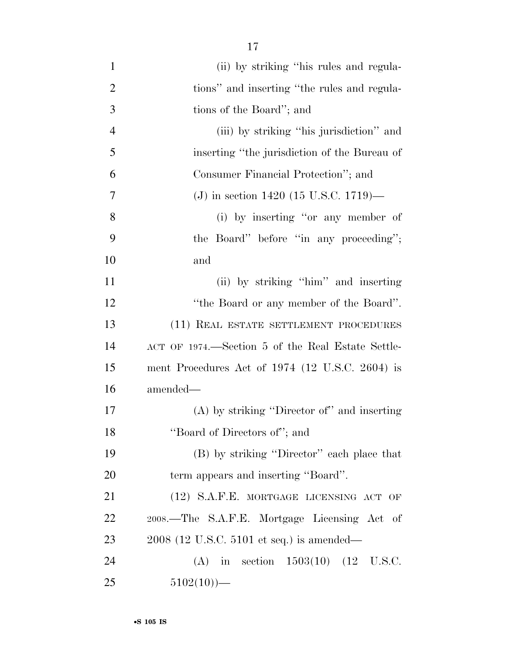- (ii) by striking ''his rules and regula-2 tions'' and inserting "the rules and regula- tions of the Board''; and (iii) by striking ''his jurisdiction'' and inserting ''the jurisdiction of the Bureau of Consumer Financial Protection''; and (J) in section 1420 (15 U.S.C. 1719)— (i) by inserting ''or any member of the Board'' before ''in any proceeding''; and (ii) by striking ''him'' and inserting ''the Board or any member of the Board''. (11) REAL ESTATE SETTLEMENT PROCEDURES ACT OF 1974.—Section 5 of the Real Estate Settle- ment Procedures Act of 1974 (12 U.S.C. 2604) is amended— (A) by striking ''Director of'' and inserting ''Board of Directors of''; and (B) by striking ''Director'' each place that term appears and inserting ''Board''. (12) S.A.F.E. MORTGAGE LICENSING ACT OF 2008.—The S.A.F.E. Mortgage Licensing Act of 2008 (12 U.S.C. 5101 et seq.) is amended— (A) in section 1503(10) (12 U.S.C.
- 25  $5102(10)$ —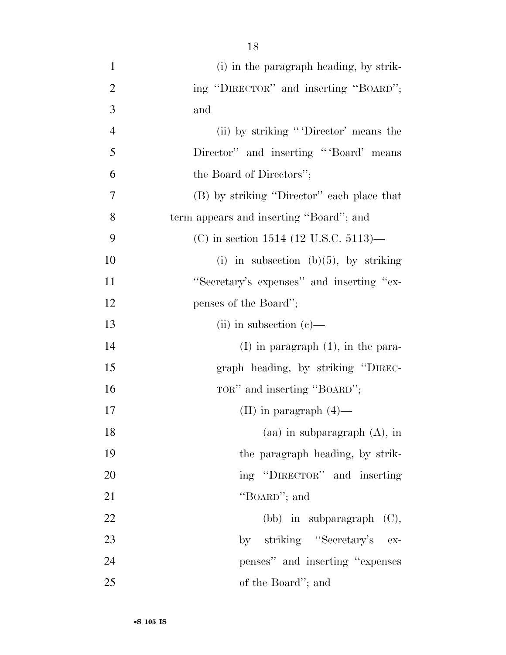| $\mathbf{1}$   | (i) in the paragraph heading, by strik-    |
|----------------|--------------------------------------------|
| $\overline{2}$ | ing "DIRECTOR" and inserting "BOARD";      |
| 3              | and                                        |
| $\overline{4}$ | (ii) by striking "'Director' means the     |
| 5              | Director" and inserting "Board" means      |
| 6              | the Board of Directors";                   |
| 7              | (B) by striking "Director" each place that |
| 8              | term appears and inserting "Board"; and    |
| 9              | (C) in section 1514 (12 U.S.C. 5113)—      |
| 10             | (i) in subsection (b) $(5)$ , by striking  |
| 11             | "Secretary's expenses" and inserting "ex-  |
| 12             | penses of the Board";                      |
| 13             | (ii) in subsection $(e)$ —                 |
| 14             | $(I)$ in paragraph $(1)$ , in the para-    |
| 15             | graph heading, by striking "DIREC-         |
| 16             | TOR" and inserting "BOARD";                |
| 17             | (II) in paragraph $(4)$ —                  |
| 18             | $(aa)$ in subparagraph $(A)$ , in          |
| 19             | the paragraph heading, by strik-           |
| 20             | ing "DIRECTOR" and inserting               |
| 21             | "BOARD"; and                               |
| 22             | $(bb)$ in subparagraph $(C)$ ,             |
| 23             | by striking "Secretary's ex-               |
| 24             | penses" and inserting "expenses"           |
| 25             | of the Board"; and                         |